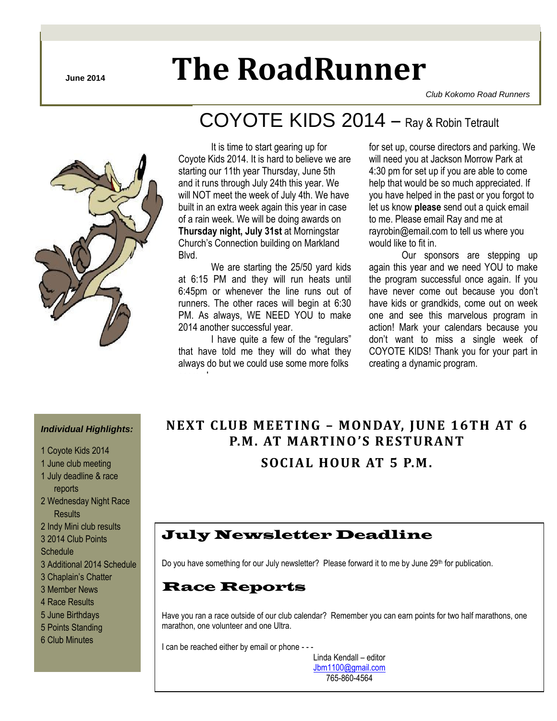# **June 2014 The RoadRunner**

COYOTE KIDS 2014 – Ray & Robin Tetrault

*Club Kokomo Road Runners*



It is time to start gearing up for Coyote Kids 2014. It is hard to believe we are starting our 11th year Thursday, June 5th and it runs through July 24th this year. We will NOT meet the week of July 4th. We have built in an extra week again this year in case of a rain week. We will be doing awards on **Thursday night, July 31st** at Morningstar Church's Connection building on Markland **Blvd** 

We are starting the 25/50 yard kids at 6:15 PM and they will run heats until 6:45pm or whenever the line runs out of runners. The other races will begin at 6:30 PM. As always, WE NEED YOU to make 2014 another successful year.

I have quite a few of the "regulars" that have told me they will do what they always do but we could use some more folks

aogram!

for set up, course directors and parking. We will need you at Jackson Morrow Park at 4:30 pm for set up if you are able to come help that would be so much appreciated. If you have helped in the past or you forgot to let us know **please** send out a quick email to me. Please email Ray and me at rayrobin@email.com to tell us where you would like to fit in.

Our sponsors are stepping up again this year and we need YOU to make the program successful once again. If you have never come out because you don't have kids or grandkids, come out on week one and see this marvelous program in action! Mark your calendars because you don't want to miss a single week of COYOTE KIDS! Thank you for your part in creating a dynamic program.

### *Individual Highlights:*

- 1 Coyote Kids 2014
- 1 June club meeting
- 1 July deadline & race reports
- 2 Wednesday Night Race
- **Results**
- 2 Indy Mini club results
- 3 2014 Club Points
- **Schedule**
- 3 Additional 2014 Schedule
- 3 Chaplain's Chatter
- 3 Member News
- 4 Race Results
- 5 June Birthdays
- 5 Points Standing
- 6 Club Minutes

# **NEXT CLUB MEETING – MONDAY, JUNE 16TH AT 6 P.M. AT MARTINO 'S RESTURANT SOCIAL HOUR AT 5 P.M.**

## July Newsletter Deadline

Do you have something for our July newsletter? Please forward it to me by June 29<sup>th</sup> for publication.

### Race Reports

Have you ran a race outside of our club calendar? Remember you can earn points for two half marathons, one marathon, one volunteer and one Ultra.

I can be reached either by email or phone - - -

Linda Kendall – editor [Jbm1100@gmail.com](mailto:Jbm1100@gmail.com) 765-860-4564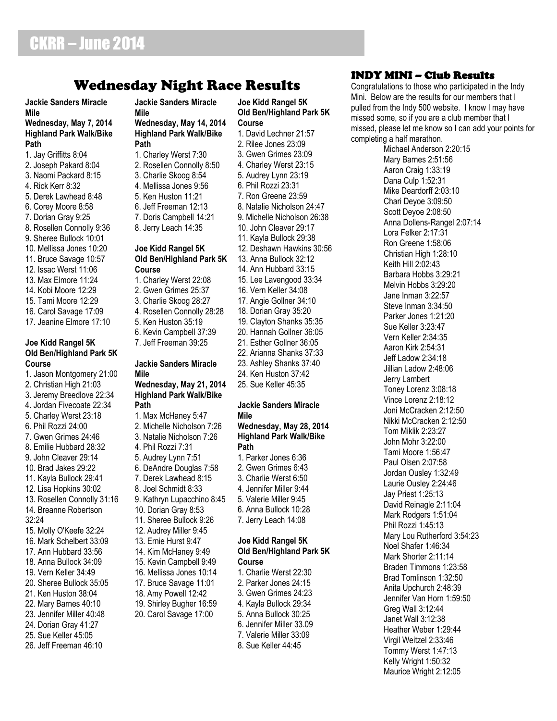### Wednesday Night Race Results

#### **Jackie Sanders Miracle Mile Wednesday, May 7, 2014 Highland Park Walk/Bike**

**Path** 1. Jay Griffitts 8:04 2. Joseph Pakard 8:04

- 3. Naomi Packard 8:15
- 4. Rick Kerr 8:32
- 5. Derek Lawhead 8:48
- 6. Corey Moore 8:58
- 7. Dorian Gray 9:25
- 8. Rosellen Connolly 9:36
- 9. Sheree Bullock 10:01
- 10. Mellissa Jones 10:20
- 11. Bruce Savage 10:57
- 12. Issac Werst 11:06
- 13. Max Elmore 11:24
- 14. Kobi Moore 12:29
- 15. Tami Moore 12:29
- 16. Carol Savage 17:09
- 17. Jeanine Elmore 17:10

### **Joe Kidd Rangel 5K Old Ben/Highland Park 5K Course**

- 1. Jason Montgomery 21:00
- 2. Christian High 21:03
- 3. Jeremy Breedlove 22:34
- 4. Jordan Fivecoate 22:34
- 5. Charley Werst 23:18
- 6. Phil Rozzi 24:00
- 7. Gwen Grimes 24:46
- 8. Emilie Hubbard 28:32
- 9. John Cleaver 29:14 10. Brad Jakes 29:22
- 11. Kayla Bullock 29:41
- 12. Lisa Hopkins 30:02
- 13. Rosellen Connolly 31:16
- 14. Breanne Robertson
- 32:24
- 15. Molly O'Keefe 32:24
- 16. Mark Schelbert 33:09
- 17. Ann Hubbard 33:56
- 
- 18. Anna Bullock 34:09 19. Vern Keller 34:49
- 20. Sheree Bullock 35:05
- 21. Ken Huston 38:04
- 22. Mary Barnes 40:10
- 23. Jennifer Miller 40:48
- 24. Dorian Gray 41:27
- 25. Sue Keller 45:05
- 26. Jeff Freeman 46:10

**Jackie Sanders Miracle** 

#### **Mile Wednesday, May 14, 2014 Highland Park Walk/Bike Path**

- 1. Charley Werst 7:30 2. Rosellen Connolly 8:50 3. Charlie Skoog 8:54
- 4. Mellissa Jones 9:56
- 5. Ken Huston 11:21
- 6. Jeff Freeman 12:13
- 7. Doris Campbell 14:21
- 8. Jerry Leach 14:35

### **Joe Kidd Rangel 5K Old Ben/Highland Park 5K Course**

- 1. Charley Werst 22:08 2. Gwen Grimes 25:37 3. Charlie Skoog 28:27 4. Rosellen Connolly 28:28 5. Ken Huston 35:19 6. Kevin Campbell 37:39 7. Jeff Freeman 39:25
- **Jackie Sanders Miracle**

### **Mile Wednesday, May 21, 2014**

- **Highland Park Walk/Bike Path**
- 1. Max McHaney 5:47 2. Michelle Nicholson 7:26 3. Natalie Nicholson 7:26
- 4. Phil Rozzi 7:31 5. Audrey Lynn 7:51 6. DeAndre Douglas 7:58 7. Derek Lawhead 8:15
- 8. Joel Schmidt 8:33 9. Kathryn Lupacchino 8:45
- 10. Dorian Gray 8:53
- 11. Sheree Bullock 9:26
- 12. Audrey Miller 9:45
- 13. Ernie Hurst 9:47
- 14. Kim McHaney 9:49
- 15. Kevin Campbell 9:49
- 16. Mellissa Jones 10:14
- 17. Bruce Savage 11:01
- 18. Amy Powell 12:42 19. Shirley Bugher 16:59
- 20. Carol Savage 17:00
- 

**Joe Kidd Rangel 5K Old Ben/Highland Park 5K Course**

1. David Lechner 21:57 2. Rilee Jones 23:09 3. Gwen Grimes 23:09 4. Charley Werst 23:15 5. Audrey Lynn 23:19 6. Phil Rozzi 23:31 7. Ron Greene 23:59 8. Natalie Nicholson 24:47 9. Michelle Nicholson 26:38 10. John Cleaver 29:17 11. Kayla Bullock 29:38 12. Deshawn Hawkins 30:56 13. Anna Bullock 32:12

- 14. Ann Hubbard 33:15
- 15. Lee Lavengood 33:34
- 16. Vern Keller 34:08 17. Angie Gollner 34:10
- 18. Dorian Gray 35:20
- 19. Clayton Shanks 35:35
- 20. Hannah Gollner 36:05
- 21. Esther Gollner 36:05 22. Arianna Shanks 37:33
- 23. Ashley Shanks 37:40
- 24. Ken Huston 37:42
- 25. Sue Keller 45:35

### **Jackie Sanders Miracle Mile**

#### **Wednesday, May 28, 2014 Highland Park Walk/Bike Path**

1. Parker Jones 6:36 2. Gwen Grimes 6:43 3. Charlie Werst 6:50 4. Jennifer Miller 9:44 5. Valerie Miller 9:45 6. Anna Bullock 10:28 7. Jerry Leach 14:08

#### **Joe Kidd Rangel 5K Old Ben/Highland Park 5K Course**

1. Charlie Werst 22:30 2. Parker Jones 24:15 3. Gwen Grimes 24:23 4. Kayla Bullock 29:34 5. Anna Bullock 30:25 6. Jennifer Miller 33.09 7. Valerie Miller 33:09 8. Sue Keller 44:45

### INDY MINI – Club Results

Congratulations to those who participated in the Indy Mini. Below are the results for our members that I pulled from the Indy 500 website. I know I may have missed some, so if you are a club member that I missed, please let me know so I can add your points for completing a half marathon.

Michael Anderson 2:20:15 Mary Barnes 2:51:56 Aaron Craig 1:33:19 Dana Culp 1:52:31 Mike Deardorff 2:03:10 Chari Deyoe 3:09:50 Scott Deyoe 2:08:50 Anna Dollens-Rangel 2:07:14 Lora Felker 2:17:31 Ron Greene 1:58:06 Christian High 1:28:10 Keith Hill 2:02:43 Barbara Hobbs 3:29:21 Melvin Hobbs 3:29:20 Jane Inman 3:22:57 Steve Inman 3:34:50 Parker Jones 1:21:20 Sue Keller 3:23:47 Vern Keller 2:34:35 Aaron Kirk 2:54:31 Jeff Ladow 2:34:18 Jillian Ladow 2:48:06 Jerry Lambert Toney Lorenz 3:08:18 Vince Lorenz 2:18:12 Joni McCracken 2:12:50 Nikki McCracken 2:12:50 Tom Miklik 2:23:27 John Mohr 3:22:00 Tami Moore 1:56:47 Paul Olsen 2:07:58 Jordan Ousley 1:32:49 Laurie Ousley 2:24:46 Jay Priest 1:25:13 David Reinagle 2:11:04 Mark Rodgers 1:51:04 Phil Rozzi 1:45:13 Mary Lou Rutherford 3:54:23 Noel Shafer 1:46:34 Mark Shorter 2:11:14 Braden Timmons 1:23:58 Brad Tomlinson 1:32:50 Anita Upchurch 2:48:39 Jennifer Van Horn 1:59:50 Greg Wall 3:12:44 Janet Wall 3:12:38 Heather Weber 1:29:44 Virgil Weitzel 2:33:46 Tommy Werst 1:47:13 Kelly Wright 1:50:32 Maurice Wright 2:12:05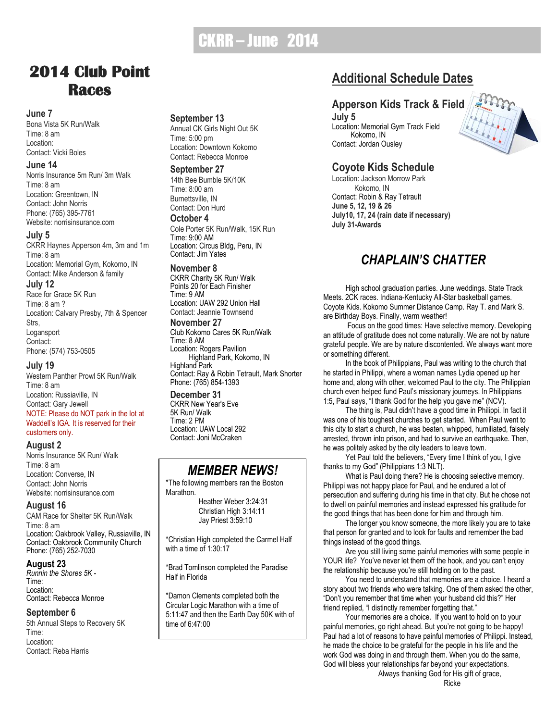# CKRR – June 2014

# **2014 Club Point Races**

#### **June 7**

Bona Vista 5K Run/Walk Time: 8 am Location: Contact: Vicki Boles

### **June 14**

Norris Insurance 5m Run/ 3m Walk Time: 8 am Location: Greentown, IN Contact: John Norris Phone: (765) 395-7761 Website: norrisinsurance.com

### **July 5**

CKRR Haynes Apperson 4m, 3m and 1m Time: 8 am Location: Memorial Gym, Kokomo, IN Contact: Mike Anderson & family

### **July 12**

Race for Grace 5K Run Time: 8 am ? Location: Calvary Presby, 7th & Spencer Strs, **Logansport** Contact: Phone: (574) 753-0505

### **July 19**

Western Panther Prowl 5K Run/Walk Time: 8 am Location: Russiaville, IN Contact: Gary Jewell NOTE: Please do NOT park in the lot at Waddell's IGA. It is reserved for their customers only.

### **August 2**

Norris Insurance 5K Run/ Walk Time: 8 am Location: Converse, IN Contact: John Norris Website: norrisinsurance.com

### **August 16**

CAM Race for Shelter 5K Run/Walk Time: 8 am Location: Oakbrook Valley, Russiaville, IN Contact: Oakbrook Community Church Phone: (765) 252-7030

### **August 23**

*Runnin the Shores 5K -* Time: Location: Contact: Rebecca Monroe

### **September 6**

5th Annual Steps to Recovery 5K Time: Location: Contact: Reba Harris

### **September 13**

Annual CK Girls Night Out 5K Time: 5:00 pm Location: Downtown Kokomo Contact: Rebecca Monroe

### **September 27**

14th Bee Bumble 5K/10K Time: 8:00 am Burnettsville, IN Contact: Don Hurd

#### **October 4**

Cole Porter 5K Run/Walk, 15K Run Time: 9:00 AM Location: Circus Bldg, Peru, IN Contact: Jim Yates

### **November 8**

CKRR Charity 5K Run/ Walk Points 20 for Each Finisher Time: 9 AM Location: UAW 292 Union Hall Contact: Jeannie Townsend

### **November 27**

Club Kokomo Cares 5K Run/Walk Time: 8 AM Location: Rogers Pavilion Highland Park, Kokomo, IN Highland Park Contact: Ray & Robin Tetrault, Mark Shorter Phone: (765) 854-1393

### **December 31**

CKRR New Year's Eve 5K Run/ Walk Time: 2 PM Location: UAW Local 292 Contact: Joni McCraken

### *MEMBER NEWS!*

\*The following members ran the Boston Marathon.

> Heather Weber 3:24:31 Christian High 3:14:11 Jay Priest 3:59:10

\*Christian High completed the Carmel Half with a time of 1:30:17

\*Brad Tomlinson completed the Paradise Half in Florida

\*Damon Clements completed both the Circular Logic Marathon with a time of 5:11:47 and then the Earth Day 50K with of time of 6:47:00

# **Additional Schedule Dates**

### **Apperson Kids Track & Field**

**July 5** Location: Memorial Gym Track Field Kokomo, IN Contact: Jordan Ousley

### **Coyote Kids Schedule**

Location: Jackson Morrow Park Kokomo, IN Contact: Robin & Ray Tetrault **June 5, 12, 19 & 26 July10, 17, 24 (rain date if necessary) July 31-Awards**

# *CHAPLAIN'S CHATTER*

High school graduation parties. June weddings. State Track Meets. 2CK races. Indiana-Kentucky All-Star basketball games. Coyote Kids. Kokomo Summer Distance Camp. Ray T. and Mark S. are Birthday Boys. Finally, warm weather!

Focus on the good times: Have selective memory. Developing an attitude of gratitude does not come naturally. We are not by nature grateful people. We are by nature discontented. We always want more or something different.

In the book of Philippians, Paul was writing to the church that he started in Philippi, where a woman names Lydia opened up her home and, along with other, welcomed Paul to the city. The Philippian church even helped fund Paul's missionary journeys. In Philippians 1:5, Paul says, "I thank God for the help you gave me" (NCV).

The thing is, Paul didn't have a good time in Philippi. In fact it was one of his toughest churches to get started. When Paul went to this city to start a church, he was beaten, whipped, humiliated, falsely arrested, thrown into prison, and had to survive an earthquake. Then, he was politely asked by the city leaders to leave town.

Yet Paul told the believers, "Every time I think of you, I give thanks to my God" (Philippians 1:3 NLT).

What is Paul doing there? He is choosing selective memory. Philippi was not happy place for Paul, and he endured a lot of persecution and suffering during his time in that city. But he chose not to dwell on painful memories and instead expressed his gratitude for the good things that has been done for him and through him.

The longer you know someone, the more likely you are to take that person for granted and to look for faults and remember the bad things instead of the good things.

Are you still living some painful memories with some people in YOUR life? You've never let them off the hook, and you can't enjoy the relationship because you're still holding on to the past.

You need to understand that memories are a choice. I heard a story about two friends who were talking. One of them asked the other, "Don't you remember that time when your husband did this?" Her friend replied, "I distinctly remember forgetting that."

Your memories are a choice. If you want to hold on to your painful memories, go right ahead. But you're not going to be happy! Paul had a lot of reasons to have painful memories of Philippi. Instead, he made the choice to be grateful for the people in his life and the work God was doing in and through them. When you do the same, God will bless your relationships far beyond your expectations. Always thanking God for His gift of grace,

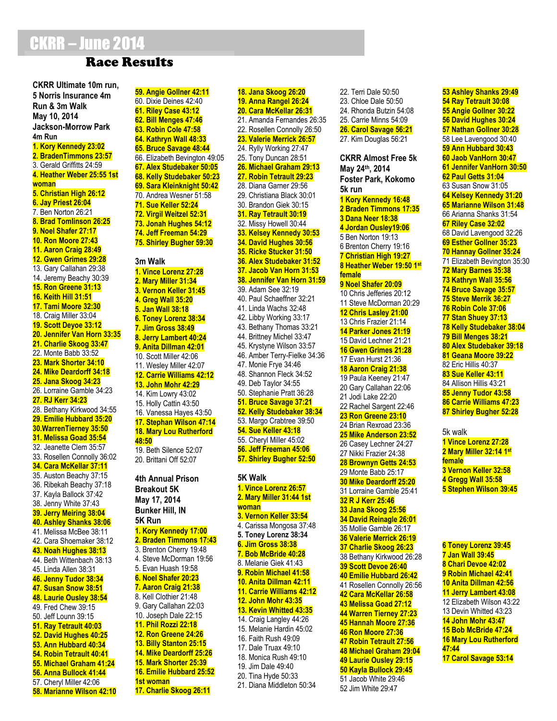# CKRR – June 2014

### Race Results

**CKRR Ultimate 10m run, 5 Norris Insurance 4m Run & 3m Walk May 10, 2014 Jackson-Morrow Park 4m Run 1. Kory Kennedy 23:02 2. BradenTimmons 23:57** 3. Gerald Griffitts 24:59 **4. Heather Weber 25:55 1st woman 5. Christian High 26:12 6. Jay Priest 26:04** 7. Ben Norton 26:21 **8. Brad Tomlinson 26:25 9. Noel Shafer 27:17 10. Ron Moore 27:43 11. Aaron Craig 28:49 12. Gwen Grimes 29:28** 13. Gary Callahan 29:38 14. Jeremy Beachy 30:39 **15. Ron Greene 31:13 16. Keith Hill 31:51 17. Tami Moore 32:30** 18. Craig Miller 33:04 **19. Scott Deyoe 33:12 20. Jennifer Van Horn 33:35 21. Charlie Skoog 33:47** 22. Monte Babb 33:52 **23. Mark Shorter 34:10 24. Mike Deardorff 34:18 25. Jana Skoog 34:23** 26. Lorraine Gamble 34:23 **27. RJ Kerr 34:23** 28. Bethany Kirkwood 34:55 **29. Emilie Hubbard 35:20 30.WarrenTierney 35:50 31. Melissa Goad 35:54** 32. Jeanette Clem 35:57 33. Rosellen Connolly 36:02 **34. Cara McKellar 37:11** 35. Auston Beachy 37:15 36. Ribekah Beachy 37:18 37. Kayla Ballock 37:42 38. Jenny White 37:43 **39. Jerry Meiring 38:04 40. Ashley Shanks 38:06** 41. Melissa McBee 38:11 42. Cara Shoemaker 38:12 **43. Noah Hughes 38:13** 44. Beth Wittenbach 38:13 45. Linda Allen 38:31 **46. Jenny Tudor 38:34 47. Susan Snow 38:51 48. Laurie Ousley 38:54** 49. Fred Chew 39:15 50. Jeff Lounn 39:15 **51. Ray Tetrault 40:03 52. David Hughes 40:25 53. Ann Hubbard 40:34 54. Robin Tetrault 40:41 55. Michael Graham 41:24 56. Anna Bullock 41:44** 57. Cheryl Miller 42:06 **58. Marianne Wilson 42:10**

**59. Angie Gollner 42:11** 60. Dixie Deines 42:40 **61. Riley Case 43:12 62. Bill Menges 47:46 63. Robin Cole 47:58 64. Kathryn Wall 48:33 65. Bruce Savage 48:44** 66. Elizabeth Bevington 49:05 **67. Alex Studebaker 50:05 68. Kelly Studebaker 50:23 69. Sara Kleinknight 50:42** 70. Andrea Wesner 51:58 **71. Sue Keller 52:24 72. Virgil Weitzel 52:31 73. Jonah Hughes 54:12 74. Jeff Freeman 54:29 75. Shirley Bugher 59:30 3m Walk 1. Vince Lorenz 27:28 2. Mary Miller 31:34 3. Vernon Keller 31:45 4. Greg Wall 35:20 5. Jan Wall 38:18 6. Toney Lorenz 38:34 7. Jim Gross 38:49 8. Jerry Lambert 40:24 9. Anita Dillman 42:01** 10. Scott Miller 42:06 11. Wesley Miller 42:07 **12. Carrie Williams 42:12 13. John Mohr 42:29** 14. Kim Lowry 43:02 15. Holly Cattin 43:50 16. Vanessa Hayes 43:50 **17. Stephan Wilson 47:14 18. Mary Lou Rutherford 48:50** 19. Beth Silence 52:07 20. Brittani Off 52:07 **4th Annual Prison Breakout 5K May 17, 2014 Bunker Hill, IN 5K Run 1. Kory Kennedy 17:00 2. Braden Timmons 17:43** 3. Brenton Cherry 19:48 4. Steve McDorman 19:56

5. Evan Huash 19:58 **6. Noel Shafer 20:23 7. Aaron Craig 21:38** 8. Kell Clothier 21:48 9. Gary Callahan 22:03 10. Joseph Dale 22:15 **11. Phil Rozzi 22:18 12. Ron Greene 24:26 13. Billy Stanton 25:15 14. Mike Deardorff 25:26 15. Mark Shorter 25:39 16. Emilie Hubbard 25:52 1st woman 17. Charlie Skoog 26:11**

**19. Anna Rangel 26:24 20. Cara McKellar 26:31** 21. Amanda Fernandes 26:35 22. Rosellen Connolly 26:50 **23. Valerie Merrick 26:57** 24. Rylly Working 27:47 25. Tony Duncan 28:51 **26. Michael Graham 29:13 27. Robin Tetrault 29:23** 28. Diana Garner 29:56 29. Christiana Black 30:01 30. Brandon Giek 30:15 **31. Ray Tetrault 30:19** 32. Missy Howell 30:44 **33. Kelsey Kennedy 30:53 34. David Hughes 30:56 35. Ricke Stucker 31:50 36. Alex Studebaker 31:52 37. Jacob Van Horn 31:53 38. Jennifer Van Horn 31:59** 39. Adam See 32:19 40. Paul Schaeffner 32:21 41. Linda Wachs 32:48 42. Libby Working 33:17 43. Bethany Thomas 33:21 44. Brittney Michel 33:47 45. Krystyne Wilson 33:57 46. Amber Terry-Fielke 34:36 47. Monie Frye 34:46 48. Shannon Fleck 34:52 49. Deb Taylor 34:55 50. Stephanie Pratt 36:28 **51. Bruce Savage 37:21 52. Kelly Studebaker 38:34** 53. Margo Crabtree 39:50 **54. Sue Keller 43:18** 55. Cheryl Miller 45:02 **56. Jeff Freeman 45:06 57. Shirley Bugher 52:50 5K Walk 1. Vince Lorenz 26:57 2. Mary Miller 31:44 1st woman 3. Vernon Keller 33:54** 4. Carissa Mongosa 37:48 **5. Toney Lorenz 38:34 6. Jim Gross 38:38 7. Bob McBride 40:28** 8. Melanie Giek 41:43 **9. Robin Michael 41:58 10. Anita Dillman 42:11 11. Carrie Williams 42:12 12. John Mohr 43:35 13. Kevin Whitted 43:35** 14. Craig Langley 44:26 15. Melanie Hardin 45:02 16. Faith Rush 49:09 17. Dale Truax 49:10 18. Monica Rush 49:10 19. Jim Dale 49:40 20. Tina Hyde 50:33 21. Diana Middleton 50:34

**18. Jana Skoog 26:20**

22. Terri Dale 50:50 23. Chloe Dale 50:50 24. Rhonda Butzin 54:08 25. Carrie Minns 54:09 **26. Carol Savage 56:21** 27. Kim Douglas 56:21 **CKRR Almost Free 5k May 24th, 2014 Foster Park, Kokomo 5k run 1 Kory Kennedy 16:48 2 Braden Timmons 17:35 3 Dana Neer 18:38 4 Jordan Ousley19:06** 5 Ben Norton 19:13 6 Brenton Cherry 19:16 **7 Christian High 19:27 8 Heather Weber 19:50 1st female 9 Noel Shafer 20:09** 10 Chris Jefferies 20:12 11 Steve McDorman 20:29 **12 Chris Lasley 21:00** 13 Chris Frazier 21:14 **14 Parker Jones 21:19** 15 David Lechner 21:21 **16 Gwen Grimes 21:28** 17 Evan Hurst 21:36 **18 Aaron Craig 21:38** 19 Paula Keeney 21:47 20 Gary Callahan 22:06 21 Jodi Lake 22:20 22 Rachel Sargent 22:46 **23 Ron Greene 23:10** 24 Brian Rexroad 23:36 **25 Mike Anderson 23:52** 26 Casey Lechner 24:27 27 Nikki Frazier 24:38 **28 Brownyn Getts 24:53** 29 Monte Babb 25:17 **30 Mike Deardorff 25:20** 31 Lorraine Gamble 25:41 **32 R J Kerr 25:46 33 Jana Skoog 25:56 34 David Reinagle 26:01** 35 Mollie Gamble 26:17 **36 Valerie Merrick 26:19 37 Charlie Skoog 26:23** 38 Bethany Kirkwood 26:28 **39 Scott Devoe 26:40 40 Emilie Hubbard 26:42** 41 Rosellen Connolly 26:56 **42 Cara McKellar 26:58 43 Melissa Goad 27:12 44 Warren Tierney 27:23 45 Hannah Moore 27:36 46 Ron Moore 27:36 47 Robin Tetrault 27:56 48 Michael Graham 29:04 49 Laurie Ousley 29:15 50 Kayla Bullock 29:45** 51 Jacob White 29:46 52 Jim White 29:47

**54 Ray Tetrault 30:08 55 Angie Gollner 30:22 56 David Hughes 30:24 57 Nathan Gollner 30:28** 58 Lee Lavengood 30:40 **59 Ann Hubbard 30:43 60 Jaob VanHorn 30:47 61 Jennifer VanHorn 30:50 62 Paul Getts 31:04** 63 Susan Snow 31:05 **64 Kelsey Kennedy 31:20 65 Marianne Wilson 31:48** 66 Arianna Shanks 31:54 **67 Riley Case 32:02** 68 David Lavengood 32:26 **69 Esther Gollner 35:23 70 Hannay Gollner 35:24** 71 Elizabeth Bevington 35:30 **72 Mary Barnes 35:38 73 Kathryn Wall 35:56 74 Bruce Savage 35:57 75 Steve Merrik 36:27 76 Robin Cole 37:06 77 Stan Shuey 37:13 78 Kelly Studebaker 38:04 79 Bill Menges 38:21 80 Alex Studebaker 39:18 81 Geana Moore 39:22** 82 Eric Hillis 40:37 **83 Sue Keller 43:11** 84 Allison Hillis 43:21 **85 Jenny Tudor 43:58 86 Carrie Williams 47:23 87 Shirley Bugher 52:28**

**53 Ashley Shanks 29:49**

#### 5k walk

**1 Vince Lorenz 27:28 2 Mary Miller 32:14 1st female 3 Vernon Keller 32:58 4 Gregg Wall 35:58 5 Stephen Wilson 39:45**

**6 Toney Lorenz 39:45 7 Jan Wall 39:45 8 Chari Devoe 42:02 9 Robin Michael 42:41 10 Anita Dillman 42:56 11 Jerry Lambert 43:08** 12 Elizabeth Wilson 43:22 13 Devin Whitted 43:23 **14 John Mohr 43:47 15 Bob McBride 47:24 16 Mary Lou Rutherford 47:44 17 Carol Savage 53:14**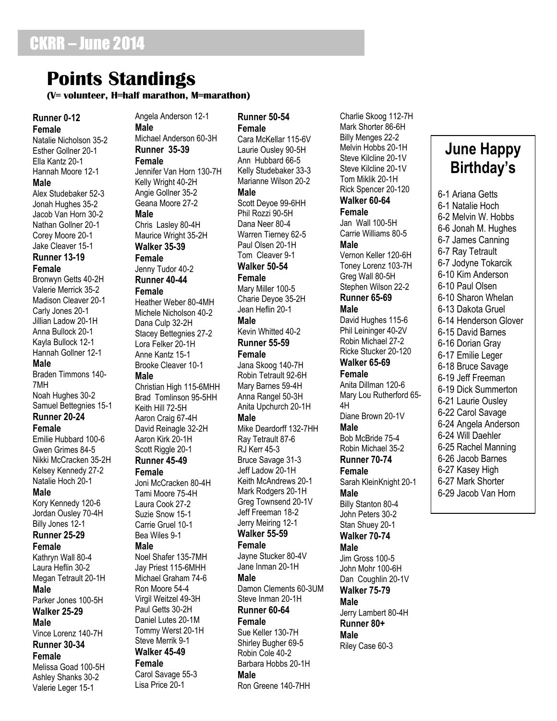# **Points Standings**

### **(V= volunteer, H=half marathon, M=marathon)**

### **Runner 0-12**

#### **Female**

Natalie Nicholson 35-2 Esther Gollner 20-1 Ella Kantz 20-1 Hannah Moore 12-1 **Male** Alex Studebaker 52-3 Jonah Hughes 35-2

Jacob Van Horn 30-2 Nathan Gollner 20-1 Corey Moore 20-1 Jake Cleaver 15-1

### **Runner 13-19 Female**

Bronwyn Getts 40-2H Valerie Merrick 35-2 Madison Cleaver 20-1 Carly Jones 20-1 Jillian Ladow 20-1H Anna Bullock 20-1 Kayla Bullock 12-1 Hannah Gollner 12-1 **Male** Braden Timmons 140- 7MH

Noah Hughes 30-2 Samuel Bettegnies 15-1

### **Runner 20-24**

### **Female**

Emilie Hubbard 100-6 Gwen Grimes 84-5 Nikki McCracken 35-2H Kelsey Kennedy 27-2 Natalie Hoch 20-1

#### **Male**

Kory Kennedy 120-6 Jordan Ousley 70-4H Billy Jones 12-1

### **Runner 25-29**

**Female**

Kathryn Wall 80-4 Laura Heflin 30-2 Megan Tetrault 20-1H

### **Male**

Parker Jones 100-5H **Walker 25-29**

### **Male**

Vince Lorenz 140-7H **Runner 30-34**

#### **Female**

Melissa Goad 100-5H Ashley Shanks 30-2 Valerie Leger 15-1

Angela Anderson 12-1 **Male** Michael Anderson 60-3H **Runner 35-39 Female** Jennifer Van Horn 130-7H Kelly Wright 40-2H Angie Gollner 35-2 Geana Moore 27-2

#### **Male**

Chris Lasley 80-4H Maurice Wright 35-2H **Walker 35-39 Female** Jenny Tudor 40-2

# **Runner 40-44**

**Female**

Heather Weber 80-4MH Michele Nicholson 40-2 Dana Culp 32-2H Stacey Bettegnies 27-2 Lora Felker 20-1H Anne Kantz 15-1 Brooke Cleaver 10-1

#### **Male**

Christian High 115-6MHH Brad Tomlinson 95-5HH Keith Hill 72-5H Aaron Craig 67-4H David Reinagle 32-2H Aaron Kirk 20-1H Scott Riggle 20-1

### **Runner 45-49**

### **Female** Joni McCracken 80-4H Tami Moore 75-4H

Laura Cook 27-2 Suzie Snow 15-1 Carrie Gruel 10-1 Bea Wiles 9-1 **Male** Noel Shafer 135-7MH Jay Priest 115-6MHH Michael Graham 74-6

Ron Moore 54-4 Virgil Weitzel 49-3H Paul Getts 30-2H Daniel Lutes 20-1M Tommy Werst 20-1H Steve Merrik 9-1 **Walker 45-49**

### **Female**

Carol Savage 55-3 Lisa Price 20-1

**Female** Cara McKellar 115-6V Laurie Ousley 90-5H Ann Hubbard 66-5 Kelly Studebaker 33-3 Marianne Wilson 20-2 **Male** Scott Deyoe 99-6HH Phil Rozzi 90-5H Dana Neer 80-4 Warren Tierney 62-5 Paul Olsen 20-1H Tom Cleaver 9-1 **Walker 50-54 Female** Mary Miller 100-5 Charie Deyoe 35-2H Jean Heflin 20-1 **Male** Kevin Whitted 40-2 **Runner 55-59 Female** Jana Skoog 140-7H Robin Tetrault 92-6H Mary Barnes 59-4H Anna Rangel 50-3H Anita Upchurch 20-1H **Male** Mike Deardorff 132-7HH Ray Tetrault 87-6 RJ Kerr 45-3 Bruce Savage 31-3 Jeff Ladow 20-1H Keith McAndrews 20-1 Mark Rodgers 20-1H Greg Townsend 20-1V Jeff Freeman 18-2 Jerry Meiring 12-1 **Walker 55-59 Female** Jayne Stucker 80-4V Jane Inman 20-1H **Male** Damon Clements 60-3UM Steve Inman 20-1H **Runner 60-64 Female** Sue Keller 130-7H Shirley Bugher 69-5 Robin Cole 40-2 Barbara Hobbs 20-1H **Male** Ron Greene 140-7HH

**Runner 50-54**

Billy Menges 22-2 Melvin Hobbs 20-1H Steve Kilcline 20-1V Steve Kilcline 20-1V Tom Miklik 20-1H Rick Spencer 20-120 **Walker 60-64 Female** Jan Wall 100-5H Carrie Williams 80-5 **Male** Vernon Keller 120-6H Toney Lorenz 103-7H Greg Wall 80-5H Stephen Wilson 22-2 **Runner 65-69 Male** David Hughes 115-6 Phil Leininger 40-2V Robin Michael 27-2 Ricke Stucker 20-120 **Walker 65-69 Female** Anita Dillman 120-6 Mary Lou Rutherford 65- 4H Diane Brown 20-1V **Male** Bob McBride 75-4 Robin Michael 35-2 **Runner 70-74 Female** Sarah KleinKnight 20-1 **Male** Billy Stanton 80-4 John Peters 30-2 Stan Shuey 20-1 **Walker 70-74 Male** Jim Gross 100-5 John Mohr 100-6H Dan Coughlin 20-1V **Walker 75-79 Male** Jerry Lambert 80-4H **Runner 80+ Male** Riley Case 60-3

Charlie Skoog 112-7H Mark Shorter 86-6H

# **June Happy Birthday's**

6-1 Ariana Getts 6-1 Natalie Hoch 6-2 Melvin W. Hobbs 6-6 Jonah M. Hughes 6-7 James Canning 6-7 Ray Tetrault 6-7 Jodyne Tokarcik 6-10 Kim Anderson 6-10 Paul Olsen 6-10 Sharon Whelan 6-13 Dakota Gruel 6-14 Henderson Glover 6-15 David Barnes 6-16 Dorian Gray 6-17 Emilie Leger 6-18 Bruce Savage 6-19 Jeff Freeman 6-19 Dick Summerton 6-21 Laurie Ousley 6-22 Carol Savage 6-24 Angela Anderson 6-24 Will Daehler 6-25 Rachel Manning 6-26 Jacob Barnes 6-27 Kasey High 6-27 Mark Shorter 6-29 Jacob Van Horn